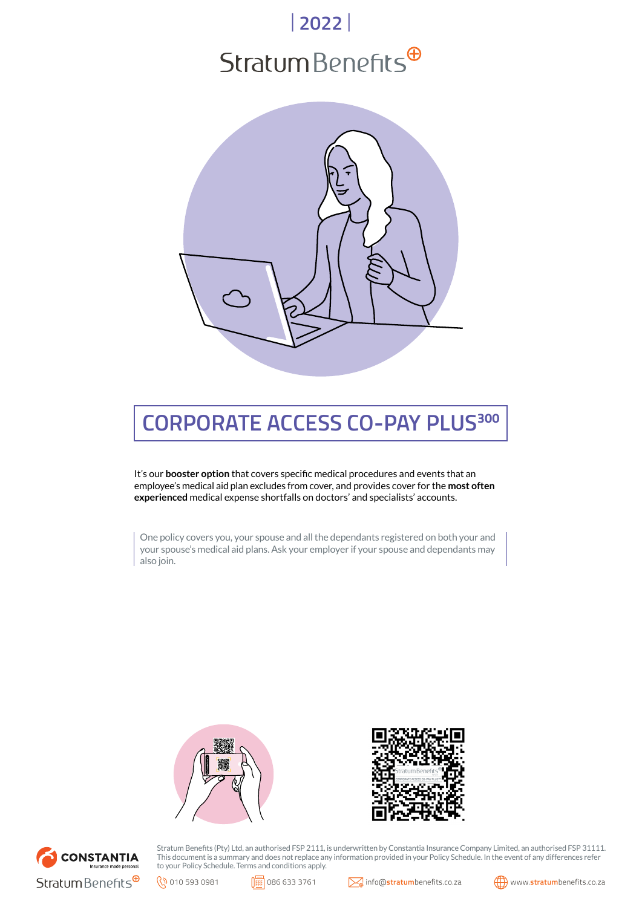# | **2022** |  $Stratum Benefits<sup>④</sup>$



## **CORPORATE ACCESS CO-PAY PLUS<sup>300</sup>**

It's our **booster option** that covers specific medical procedures and events that an employee's medical aid plan excludes from cover, and provides cover for the **most often experienced** medical expense shortfalls on doctors' and specialists' accounts.

One policy covers you, your spouse and all the dependants registered on both your and your spouse's medical aid plans. Ask your employer if your spouse and dependants may also join.







Stratum Benefits (Pty) Ltd, an authorised FSP 2111, is underwritten by Constantia Insurance Company Limited, an authorised FSP 31111. This document is a summary and does not replace any information provided in your Policy Schedule. In the event of any differences refer to your Policy Schedule. Terms and conditions apply.



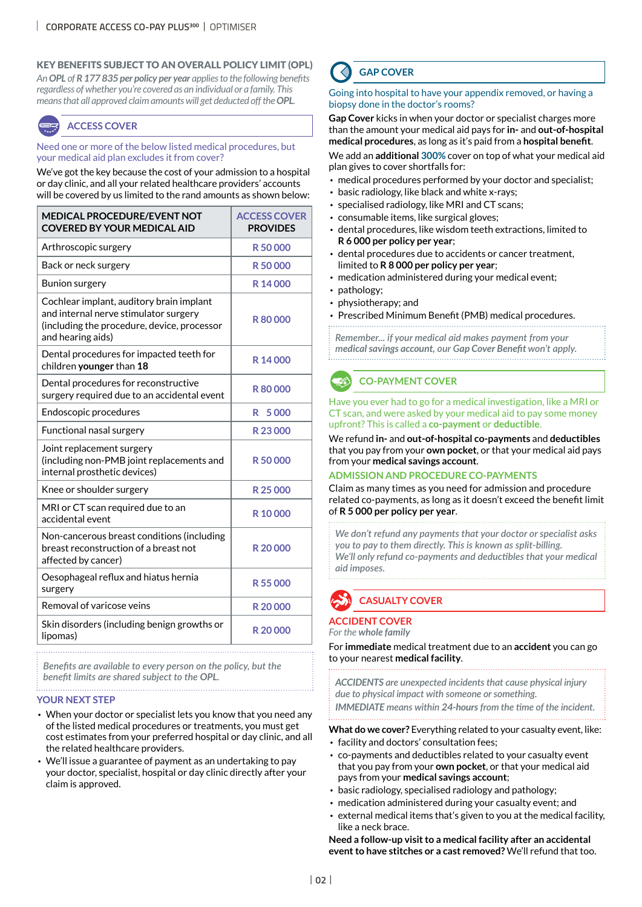#### KEY BENEFITS SUBJECT TO AN OVERALL POLICY LIMIT (OPL)

*An OPL of R 177 835 per policy per year applies to the following benefits regardless of whether you're covered as an individual or a family. This means that all approved claim amounts will get deducted off the OPL.*

#### **ACCESS COVER**

Need one or more of the below listed medical procedures, but your medical aid plan excludes it from cover?

We've got the key because the cost of your admission to a hospital or day clinic, and all your related healthcare providers' accounts will be covered by us limited to the rand amounts as shown below:

| <b>MEDICAL PROCEDURE/EVENT NOT</b><br><b>COVERED BY YOUR MEDICAL AID</b>                                                                              | <b>ACCESS COVER</b><br><b>PROVIDES</b> |
|-------------------------------------------------------------------------------------------------------------------------------------------------------|----------------------------------------|
| Arthroscopic surgery                                                                                                                                  | R50000                                 |
| Back or neck surgery                                                                                                                                  | R50000                                 |
| <b>Bunion surgery</b>                                                                                                                                 | R14000                                 |
| Cochlear implant, auditory brain implant<br>and internal nerve stimulator surgery<br>(including the procedure, device, processor<br>and hearing aids) | R80000                                 |
| Dental procedures for impacted teeth for<br>children younger than 18                                                                                  | R14000                                 |
| Dental procedures for reconstructive<br>surgery required due to an accidental event                                                                   | R80000                                 |
| Endoscopic procedures                                                                                                                                 | 5000<br>R                              |
| Functional nasal surgery                                                                                                                              | R23000                                 |
| Joint replacement surgery<br>(including non-PMB joint replacements and<br>internal prosthetic devices)                                                | R50000                                 |
| Knee or shoulder surgery                                                                                                                              | R 25 000                               |
| MRI or CT scan required due to an<br>accidental event                                                                                                 | R 10000                                |
| Non-cancerous breast conditions (including<br>breast reconstruction of a breast not<br>affected by cancer)                                            | R 20000                                |
| Oesophageal reflux and hiatus hernia<br>surgery                                                                                                       | R55000                                 |
| Removal of varicose veins                                                                                                                             | R 20000                                |
| Skin disorders (including benign growths or<br>lipomas)                                                                                               | R 20000                                |

*Benefits are available to every person on the policy, but the benefit limits are shared subject to the OPL.*

#### **YOUR NEXT STEP**

- When your doctor or specialist lets you know that you need any of the listed medical procedures or treatments, you must get cost estimates from your preferred hospital or day clinic, and all the related healthcare providers.
- We'll issue a guarantee of payment as an undertaking to pay your doctor, specialist, hospital or day clinic directly after your claim is approved.

## **GAP COVER**

#### Going into hospital to have your appendix removed, or having a biopsy done in the doctor's rooms?

**Gap Cover** kicks in when your doctor or specialist charges more than the amount your medical aid pays for **in-** and **out-of-hospital medical procedures**, as long as it's paid from a **hospital benefit**.

We add an **additional 300%** cover on top of what your medical aid plan gives to cover shortfalls for:

- medical procedures performed by your doctor and specialist;
- basic radiology, like black and white x-rays;
- specialised radiology, like MRI and CT scans;
- consumable items, like surgical gloves;
- dental procedures, like wisdom teeth extractions, limited to **R 6 000 per policy per year**;
- dental procedures due to accidents or cancer treatment, limited to **R 8 000 per policy per year**;
- medication administered during your medical event;
- pathology;
- physiotherapy; and
- Prescribed Minimum Benefit (PMB) medical procedures.

*Remember... if your medical aid makes payment from your medical savings account, our Gap Cover Benefit won't apply.* . . . . . . . . . . . . . . . . . . . .

## **CO-PAYMENT COVER**

Have you ever had to go for a medical investigation, like a MRI or CT scan, and were asked by your medical aid to pay some money upfront? This is called a **co-payment** or **deductible**.

#### We refund **in-** and **out-of-hospital co-payments** and **deductibles** that you pay from your **own pocket**, or that your medical aid pays from your **medical savings account**.

#### **ADMISSION AND PROCEDURE CO-PAYMENTS**

Claim as many times as you need for admission and procedure related co-payments, as long as it doesn't exceed the benefit limit of **R 5 000 per policy per year**.

*We don't refund any payments that your doctor or specialist asks you to pay to them directly. This is known as split-billing. We'll only refund co-payments and deductibles that your medical aid imposes.*



#### **ACCIDENT COVER**

*For the whole family*

For **immediate** medical treatment due to an **accident** you can go to your nearest **medical facility**.

*ACCIDENTS are unexpected incidents that cause physical injury due to physical impact with someone or something. IMMEDIATE means within 24-hours from the time of the incident.*

**What do we cover?** Everything related to your casualty event, like:

- facility and doctors' consultation fees;
- co-payments and deductibles related to your casualty event that you pay from your **own pocket**, or that your medical aid pays from your **medical savings account**;
- basic radiology, specialised radiology and pathology;
- medication administered during your casualty event; and
- external medical items that's given to you at the medical facility, like a neck brace.

**Need a follow-up visit to a medical facility after an accidental event to have stitches or a cast removed?** We'll refund that too.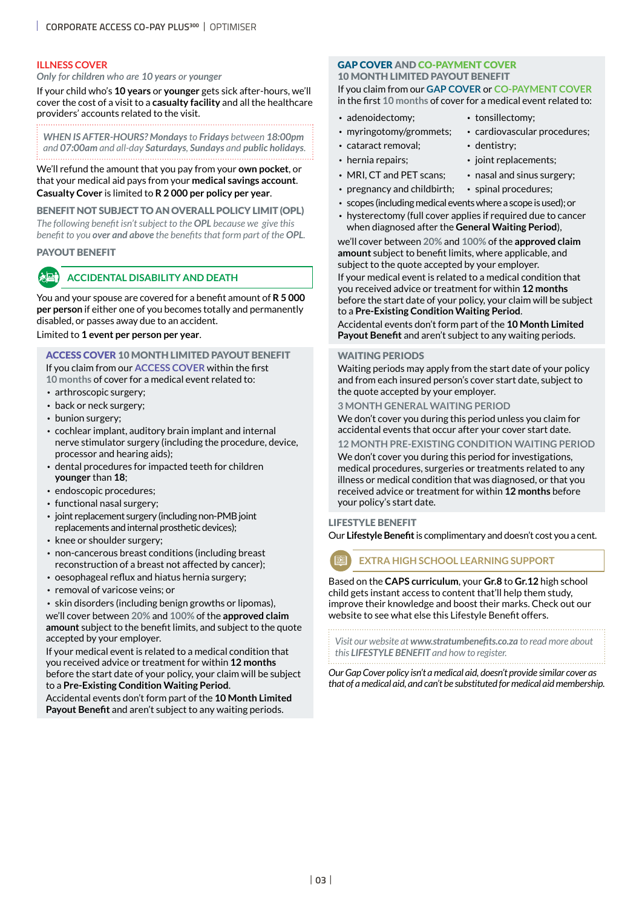#### **ILLNESS COVER**

#### *Only for children who are 10 years or younger*

If your child who's **10 years** or **younger** gets sick after-hours, we'll cover the cost of a visit to a **casualty facility** and all the healthcare providers' accounts related to the visit.

*WHEN IS AFTER-HOURS? Mondays to Fridays between 18:00pm and 07:00am and all-day Saturdays, Sundays and public holidays*.

We'll refund the amount that you pay from your **own pocket**, or that your medical aid pays from your **medical savings account**. **Casualty Cover** is limited to **R 2 000 per policy per year**.

#### BENEFIT NOT SUBJECT TO AN OVERALL POLICY LIMIT (OPL)

*The following benefit isn't subject to the OPL because we give this benefit to you over and above the benefits that form part of the OPL.*

#### PAYOUT BENEFIT

#### **ACCIDENTAL DISABILITY AND DEATH**

You and your spouse are covered for a benefit amount of **R 5 000 per person** if either one of you becomes totally and permanently disabled, or passes away due to an accident.

#### Limited to **1 event per person per year**.

ACCESS COVER 10 MONTH LIMITED PAYOUT BENEFIT If you claim from our **ACCESS COVER** within the first **10 months** of cover for a medical event related to:

- arthroscopic surgery;
- back or neck surgery;
- bunion surgery;
- cochlear implant, auditory brain implant and internal nerve stimulator surgery (including the procedure, device, processor and hearing aids);
- dental procedures for impacted teeth for children **younger** than **18**;
- endoscopic procedures;
- functional nasal surgery;
- joint replacement surgery (including non-PMB joint replacements and internal prosthetic devices);
- knee or shoulder surgery;
- non-cancerous breast conditions (including breast reconstruction of a breast not affected by cancer);
- oesophageal reflux and hiatus hernia surgery;
- removal of varicose veins; or

• skin disorders (including benign growths or lipomas), we'll cover between **20%** and **100%** of the **approved claim amount** subject to the benefit limits, and subject to the quote accepted by your employer.

If your medical event is related to a medical condition that you received advice or treatment for within **12 months** before the start date of your policy, your claim will be subject to a **Pre-Existing Condition Waiting Period**.

Accidental events don't form part of the **10 Month Limited Payout Benefit** and aren't subject to any waiting periods.

#### GAP COVER AND CO-PAYMENT COVER 10 MONTH LIMITED PAYOUT BENEFIT If you claim from our **GAP COVER** or **CO-PAYMENT COVER**

in the first **10 months** of cover for a medical event related to:

- adenoidectomy: tonsillectomy:
	-
- myringotomy/grommets; cardiovascular procedures;
- cataract removal: dentistry:
- 
- hernia repairs; ioint replacements;
- MRI, CT and PET scans; nasal and sinus surgery;
- pregnancy and childbirth; spinal procedures;
- scopes (including medical events where a scope is used); or • hysterectomy (full cover applies if required due to cancer
- when diagnosed after the **General Waiting Period**), we'll cover between **20%** and **100%** of the **approved claim**

**amount** subject to benefit limits, where applicable, and subject to the quote accepted by your employer. If your medical event is related to a medical condition that

you received advice or treatment for within **12 months** before the start date of your policy, your claim will be subject to a **Pre-Existing Condition Waiting Period**.

Accidental events don't form part of the **10 Month Limited Payout Benefit** and aren't subject to any waiting periods.

#### WAITING PERIODS

Waiting periods may apply from the start date of your policy and from each insured person's cover start date, subject to the quote accepted by your employer.

#### **3 MONTH GENERAL WAITING PERIOD**

We don't cover you during this period unless you claim for accidental events that occur after your cover start date.

#### **12 MONTH PRE-EXISTING CONDITION WAITING PERIOD**

We don't cover you during this period for investigations, medical procedures, surgeries or treatments related to any illness or medical condition that was diagnosed, or that you received advice or treatment for within **12 months** before your policy's start date.

#### LIFESTYLE BENEFIT

Our **Lifestyle Benefit** is complimentary and doesn't cost you a cent.

## **EXTRA HIGH SCHOOL LEARNING SUPPORT**

Based on the **CAPS curriculum**, your **Gr.8** to **Gr.12** high school child gets instant access to content that'll help them study, improve their knowledge and boost their marks. Check out our website to see what else this Lifestyle Benefit offers.

*Visit our website at www.stratumbenefits.co.za to read more about this LIFESTYLE BENEFIT and how to register.*

*Our Gap Cover policy isn't a medical aid, doesn't provide similar cover as that of a medical aid, and can't be substituted for medical aid membership.*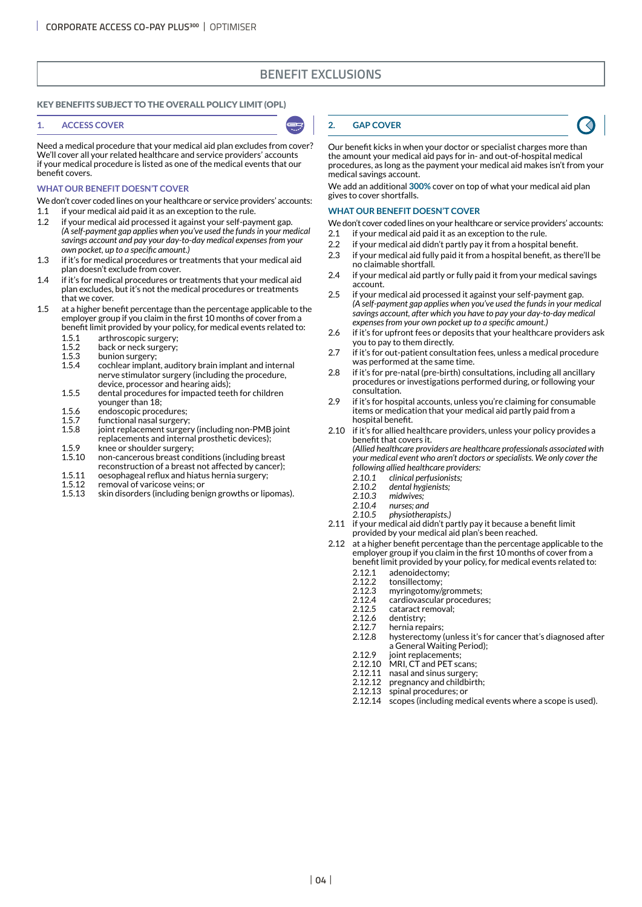## **BENEFIT EXCLUSIONS**

#### KEY BENEFITS SUBJECT TO THE OVERALL POLICY LIMIT (OPL)

#### **1. ACCESS COVER**

Need a medical procedure that your medical aid plan excludes from cover? We'll cover all your related healthcare and service providers' accounts if your medical procedure is listed as one of the medical events that our benefit covers.

#### **WHAT OUR BENEFIT DOESN'T COVER**

We don't cover coded lines on your healthcare or service providers' accounts:

- 1.1 if your medical aid paid it as an exception to the rule. 1.2 if your medical aid processed it against your self-payment gap. *(A self-payment gap applies when you've used the funds in your medical savings account and pay your day-to-day medical expenses from your*
- *own pocket, up to a specific amount.)* 1.3 if it's for medical procedures or treatments that your medical aid plan doesn't exclude from cover.
- 1.4 if it's for medical procedures or treatments that your medical aid plan excludes, but it's not the medical procedures or treatments that we cover.
- 1.5 at a higher benefit percentage than the percentage applicable to the employer group if you claim in the first 10 months of cover from a benefit limit provided by your policy, for medical events related to:
	-
	- 1.5.1 arthroscopic surgery;<br>1.5.2 back or neck surgery;  $1.5.2$  back or neck surgery;<br> $1.5.3$  bunion surgery;
	- 1.5.3 bunion surgery;<br>1.5.4 cochlear implan
	- cochlear implant, auditory brain implant and internal nerve stimulator surgery (including the procedure, device, processor and hearing aids);
	- 1.5.5 dental procedures for impacted teeth for children younger than 18;
	- 1.5.6 endoscopic procedures;<br>1.5.7 functional nasal surgery
	- 1.5.7 functional nasal surgery;<br>1.5.8 joint replacement surger
	- joint replacement surgery (including non-PMB joint replacements and internal prosthetic devices);
	- 1.5.9 knee or shoulder surgery;<br>1.5.10 non-cancerous breast con 1.5.10 cancerous breast conditions (including breast reconstruction of a breast not affected by cancer);
	- 1.5.11 oesophageal reflux and hiatus hernia surgery;
	- 1.5.12 removal of varicose veins; or<br>1.5.13 skin disorders (including ben
	- skin disorders (including benign growths or lipomas).

#### **2. GAP COVER**

Our benefit kicks in when your doctor or specialist charges more than the amount your medical aid pays for in- and out-of-hospital medical procedures, as long as the payment your medical aid makes isn't from your medical savings account.

We add an additional **300%** cover on top of what your medical aid plan gives to cover shortfalls.

#### **WHAT OUR BENEFIT DOESN'T COVER**

- We don't cover coded lines on your healthcare or service providers' accounts:
- 2.1 if your medical aid paid it as an exception to the rule.
- 2.2 if your medical aid didn't partly pay it from a hospital benefit.
- 2.3 if your medical aid fully paid it from a hospital benefit, as there'll be no claimable shortfall.
- 2.4 if your medical aid partly or fully paid it from your medical savings account.
- 2.5 if your medical aid processed it against your self-payment gap. *(A self-payment gap applies when you've used the funds in your medical savings account, after which you have to pay your day-to-day medical expenses from your own pocket up to a specific amount.)*
- 2.6 if it's for upfront fees or deposits that your healthcare providers ask you to pay to them directly.
- 2.7 if it's for out-patient consultation fees, unless a medical procedure was performed at the same time.
- 2.8 if it's for pre-natal (pre-birth) consultations, including all ancillary procedures or investigations performed during, or following your consultation.
- 2.9 if it's for hospital accounts, unless you're claiming for consumable items or medication that your medical aid partly paid from a hospital benefit.
- 2.10 if it's for allied healthcare providers, unless your policy provides a benefit that covers it.

*(Allied healthcare providers are healthcare professionals associated with your medical event who aren't doctors or specialists. We only cover the following allied healthcare providers:*

- *2.10.1 clinical perfusionists;*
- *2.10.2 dental hygienists;*
- *2.10.3 midwives;*
- *2.10.4 nurses; and*
- *2.10.5 physiotherapists.)*
- 2.11 if your medical aid didn't partly pay it because a benefit limit provided by your medical aid plan's been reached.
- 2.12 at a higher benefit percentage than the percentage applicable to the employer group if you claim in the first 10 months of cover from a benefit limit provided by your policy, for medical events related to:
	-
	-
	- 2.12.1 adenoidectomy;<br>2.12.2 tonsillectomy;<br>2.12.3 myringotomy/gr tonsillectomy;
	- 2.12.3 myringotomy/grommets;
	- 2.12.4 cardiovascular procedures;<br>2.12.5 cataract removal;
	- 2.12.5 cataract removal;<br>2.12.6 dentistry;
	- 2.12.6 dentistry;<br>2.12.7 hernia rer hernia repairs;
	- 2.12.8 hysterectomy (unless it's for cancer that's diagnosed after a General Waiting Period);
	-
	- 2.12.9 joint replacements;<br>2.12.10 MRI, CT and PET sca MRI, CT and PET scans;
	- 2.12.11 nasal and sinus surgery<br>2.12.12 pregnancy and childbirt
	- 2.12.12 pregnancy and childbirth;<br>2.12.13 spinal procedures; or
	- 2.12.13 spinal procedures; or<br>2.12.14 scopes (including med
	- scopes (including medical events where a scope is used).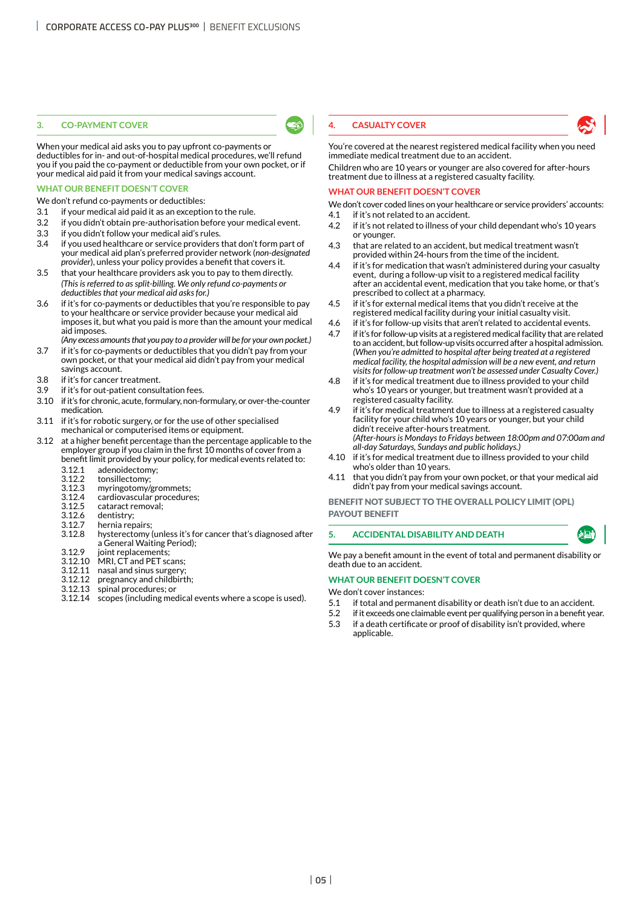#### **3. CO-PAYMENT COVER**

When your medical aid asks you to pay upfront co-payments or deductibles for in- and out-of-hospital medical procedures, we'll refund you if you paid the co-payment or deductible from your own pocket, or if your medical aid paid it from your medical savings account.

#### **WHAT OUR BENEFIT DOESN'T COVER**

We don't refund co-payments or deductibles:

- 3.1 if your medical aid paid it as an exception to the rule.
- 3.2 if you didn't obtain pre-authorisation before your medical event.
- 3.3 if you didn't follow your medical aid's rules.
- 3.4 if you used healthcare or service providers that don't form part of your medical aid plan's preferred provider network (*non-designated provider*), unless your policy provides a benefit that covers it.
- 3.5 that your healthcare providers ask you to pay to them directly. *(This is referred to as split-billing. We only refund co-payments or deductibles that your medical aid asks for.)*
- 3.6 if it's for co-payments or deductibles that you're responsible to pay to your healthcare or service provider because your medical aid imposes it, but what you paid is more than the amount your medical aid imposes.
- *(Any excess amounts that you pay to a provider will be for your own pocket.)* 3.7 if it's for co-payments or deductibles that you didn't pay from your own pocket, or that your medical aid didn't pay from your medical
- savings account. 3.8 if it's for cancer treatment.
- 3.9 if it's for out-patient consultation fees.
- 3.10 if it's for chronic, acute, formulary, non-formulary, or over-the-counter medication.
- 3.11 if it's for robotic surgery, or for the use of other specialised mechanical or computerised items or equipment.
- 3.12 at a higher benefit percentage than the percentage applicable to the employer group if you claim in the first 10 months of cover from a benefit limit provided by your policy, for medical events related to:
	- 3.12.1 adenoidectomy;
	- 3.12.2 tonsillectomy;
	- 3.12.3 myringotomy/grommets;
	- 3.12.4 cardiovascular procedures;
	- 3.12.5 cataract removal;
	- 3.12.6 dentistry;<br>3.12.7 hernia rep
	- 3.12.7 hernia repairs;<br>3.12.8 hysterectomy
	- hysterectomy (unless it's for cancer that's diagnosed after a General Waiting Period);
	- 3.12.9 joint replacements;<br>3.12.10 MRI. CT and PET sc
	- 3.12.10 MRI, CT and PET scans;<br>3.12.11 nasal and sinus surgery;
	- nasal and sinus surgery;
	- 3.12.12 pregnancy and childbirth;
	- spinal procedures; or
	- 3.12.14 scopes (including medical events where a scope is used).

#### **4. CASUALTY COVER**

You're covered at the nearest registered medical facility when you need immediate medical treatment due to an accident.

Children who are 10 years or younger are also covered for after-hours treatment due to illness at a registered casualty facility.

#### **WHAT OUR BENEFIT DOESN'T COVER**

- We don't cover coded lines on your healthcare or service providers' accounts:
- 4.1 if it's not related to an accident.
- 4.2 if it's not related to illness of your child dependant who's 10 years or younger.
- 4.3 that are related to an accident, but medical treatment wasn't provided within 24-hours from the time of the incident.
- 4.4 if it's for medication that wasn't administered during your casualty event, during a follow-up visit to a registered medical facility after an accidental event, medication that you take home, or that's prescribed to collect at a pharmacy.
- 4.5 if it's for external medical items that you didn't receive at the registered medical facility during your initial casualty visit.
- 4.6 if it's for follow-up visits that aren't related to accidental events.
- 4.7 if it's for follow-up visits at a registered medical facility that are related to an accident, but follow-up visits occurred after a hospital admission. *(When you're admitted to hospital after being treated at a registered medical facility, the hospital admission will be a new event, and return visits for follow-up treatment won't be assessed under Casualty Cover.)*
- 4.8 if it's for medical treatment due to illness provided to your child who's 10 years or younger, but treatment wasn't provided at a registered casualty facility.
- 4.9 if it's for medical treatment due to illness at a registered casualty facility for your child who's 10 years or younger, but your child didn't receive after-hours treatment. *(After-hours is Mondays to Fridays between 18:00pm and 07:00am and all-day Saturdays, Sundays and public holidays.)*
- 4.10 if it's for medical treatment due to illness provided to your child who's older than 10 years.
- 4.11 that you didn't pay from your own pocket, or that your medical aid didn't pay from your medical savings account.

BENEFIT NOT SUBJECT TO THE OVERALL POLICY LIMIT (OPL) PAYOUT BENEFIT

#### **5. ACCIDENTAL DISABILITY AND DEATH**

We pay a benefit amount in the event of total and permanent disability or death due to an accident.

#### **WHAT OUR BENEFIT DOESN'T COVER**

We don't cover instances:

- 5.1 if total and permanent disability or death isn't due to an accident.
- 5.2 if it exceeds one claimable event per qualifying person in a benefit year.
- 5.3 if a death certificate or proof of disability isn't provided, where applicable.